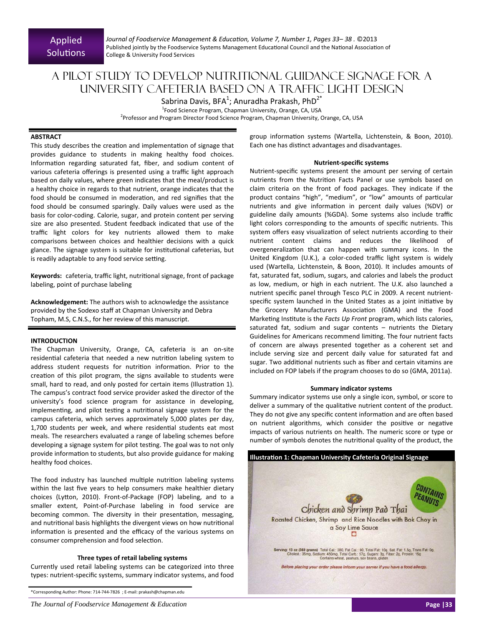*Journal of Foodservice Management & EducaƟon, Volume 7, Number 1, Pages 33– 38 .* ©2013 Published jointly by the Foodservice Systems Management Educational Council and the National Association of College & University Food Services

# A pilot study to develop nutritional guidance signage for a university cafeteria based on a traffic light design

Sabrina Davis, BFA<sup>1</sup>; Anuradha Prakash, PhD<sup>2\*</sup>

<sup>1</sup>Food Science Program, Chapman University, Orange, CA, USA <sup>2</sup>Professor and Program Director Food Science Program, Chapman University, Orange, CA, USA

## **ABSTRACT**

This study describes the creation and implementation of signage that provides guidance to students in making healthy food choices. Information regarding saturated fat, fiber, and sodium content of various cafeteria offerings is presented using a traffic light approach based on daily values, where green indicates that the meal/product is a healthy choice in regards to that nutrient, orange indicates that the food should be consumed in moderation, and red signifies that the food should be consumed sparingly. Daily values were used as the basis for color‐coding. Calorie, sugar, and protein content per serving size are also presented. Student feedback indicated that use of the traffic light colors for key nutrients allowed them to make comparisons between choices and healthier decisions with a quick glance. The signage system is suitable for institutional cafeterias, but is readily adaptable to any food service setting.

**Keywords:** cafeteria, traffic light, nutritional signage, front of package labeling, point of purchase labeling

**Acknowledgement:** The authors wish to acknowledge the assistance provided by the Sodexo staff at Chapman University and Debra Topham, M.S, C.N.S., for her review of this manuscript.

## **INTRODUCTION**

The Chapman University, Orange, CA, cafeteria is an on‐site residential cafeteria that needed a new nutrition labeling system to address student requests for nutrition information. Prior to the creation of this pilot program, the signs available to students were small, hard to read, and only posted for certain items (Illustration 1). The campus's contract food service provider asked the director of the university's food science program for assistance in developing, implementing, and pilot testing a nutritional signage system for the campus cafeteria, which serves approximately 5,000 plates per day, 1,700 students per week, and where residential students eat most meals. The researchers evaluated a range of labeling schemes before developing a signage system for pilot testing. The goal was to not only provide information to students, but also provide guidance for making healthy food choices.

The food industry has launched multiple nutrition labeling systems within the last five years to help consumers make healthier dietary choices (Lytton, 2010). Front-of-Package (FOP) labeling, and to a smaller extent, Point‐of‐Purchase labeling in food service are becoming common. The diversity in their presentation, messaging, and nutritional basis highlights the divergent views on how nutritional information is presented and the efficacy of the various systems on consumer comprehension and food selection.

#### **Three types of retail labeling systems**

Currently used retail labeling systems can be categorized into three types: nutrient‐specific systems, summary indicator systems, and food group information systems (Wartella, Lichtenstein, & Boon, 2010). Each one has distinct advantages and disadvantages.

#### **Nutrient‐specific systems**

Nutrient‐specific systems present the amount per serving of certain nutrients from the Nutrition Facts Panel or use symbols based on claim criteria on the front of food packages. They indicate if the product contains "high", "medium", or "low" amounts of particular nutrients and give information in percent daily values (%DV) or guideline daily amounts (%GDA). Some systems also include traffic light colors corresponding to the amounts of specific nutrients. This system offers easy visualization of select nutrients according to their nutrient content claims and reduces the likelihood of overgeneralization that can happen with summary icons. In the United Kingdom (U.K.), a color‐coded traffic light system is widely used (Wartella, Lichtenstein, & Boon, 2010). It includes amounts of fat, saturated fat, sodium, sugars, and calories and labels the product as low, medium, or high in each nutrient. The U.K. also launched a nutrient specific panel through Tesco PLC in 2009. A recent nutrient‐ specific system launched in the United States as a joint initiative by the Grocery Manufacturers Association (GMA) and the Food Marketing Institute is the *Facts Up Front* program, which lists calories, saturated fat, sodium and sugar contents – nutrients the Dietary Guidelines for Americans recommend limiting. The four nutrient facts of concern are always presented together as a coherent set and include serving size and percent daily value for saturated fat and sugar. Two additional nutrients such as fiber and certain vitamins are included on FOP labels if the program chooses to do so (GMA, 2011a).

#### **Summary indicator systems**

Summary indicator systems use only a single icon, symbol, or score to deliver a summary of the qualitative nutrient content of the product. They do not give any specific content information and are often based on nutrient algorithms, which consider the positive or negative impacts of various nutrients on health. The numeric score or type or number of symbols denotes the nutritional quality of the product, the



<sup>\*</sup>Corresponding Author: Phone: 714‐744‐7826 ; E‐mail: prakash@chapman.edu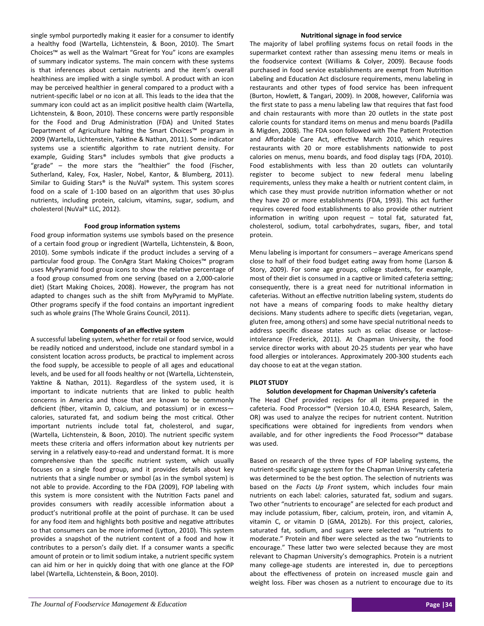single symbol purportedly making it easier for a consumer to identify a healthy food (Wartella, Lichtenstein, & Boon, 2010). The Smart Choices™ as well as the Walmart "Great for You" icons are examples of summary indicator systems. The main concern with these systems is that inferences about certain nutrients and the item's overall healthiness are implied with a single symbol. A product with an icon may be perceived healthier in general compared to a product with a nutrient‐specific label or no icon at all. This leads to the idea that the summary icon could act as an implicit positive health claim (Wartella, Lichtenstein, & Boon, 2010). These concerns were partly responsible for the Food and Drug Administration (FDA) and United States Department of Agriculture halting the Smart Choices<sup>™</sup> program in 2009 (Wartella, Lichtenstein, Yaktine & Nathan, 2011). Some indicator systems use a scientific algorithm to rate nutrient density. For example, Guiding Stars® includes symbols that give products a "grade" – the more stars the "healthier" the food (Fischer, Sutherland, Kaley, Fox, Hasler, Nobel, Kantor, & Blumberg, 2011). Similar to Guiding Stars® is the NuVal® system. This system scores food on a scale of 1‐100 based on an algorithm that uses 30‐plus nutrients, including protein, calcium, vitamins, sugar, sodium, and cholesterol (NuVal® LLC, 2012).

## **Food group informaƟon systems**

Food group information systems use symbols based on the presence of a certain food group or ingredient (Wartella, Lichtenstein, & Boon, 2010). Some symbols indicate if the product includes a serving of a particular food group. The ConAgra Start Making Choices™ program uses MyPyramid food group icons to show the relative percentage of a food group consumed from one serving (based on a 2,000‐calorie diet) (Start Making Choices, 2008). However, the program has not adapted to changes such as the shift from MyPyramid to MyPlate. Other programs specify if the food contains an important ingredient such as whole grains (The Whole Grains Council, 2011).

## **Components of an effecƟve system**

A successful labeling system, whether for retail or food service, would be readily noticed and understood, include one standard symbol in a consistent location across products, be practical to implement across the food supply, be accessible to people of all ages and educational levels, and be used for all foods healthy or not (Wartella, Lichtenstein, Yaktine & Nathan, 2011). Regardless of the system used, it is important to indicate nutrients that are linked to public health concerns in America and those that are known to be commonly deficient (fiber, vitamin D, calcium, and potassium) or in excess calories, saturated fat, and sodium being the most critical. Other important nutrients include total fat, cholesterol, and sugar, (Wartella, Lichtenstein, & Boon, 2010). The nutrient specific system meets these criteria and offers information about key nutrients per serving in a relatively easy-to-read and understand format. It is more comprehensive than the specific nutrient system, which usually focuses on a single food group, and it provides details about key nutrients that a single number or symbol (as in the symbol system) is not able to provide. According to the FDA (2009), FOP labeling with this system is more consistent with the Nutrition Facts panel and provides consumers with readily accessible information about a product's nutritional profile at the point of purchase. It can be used for any food item and highlights both positive and negative attributes so that consumers can be more informed (Lytton, 2010). This system provides a snapshot of the nutrient content of a food and how it contributes to a person's daily diet. If a consumer wants a specific amount of protein or to limit sodium intake, a nutrient specific system can aid him or her in quickly doing that with one glance at the FOP label (Wartella, Lichtenstein, & Boon, 2010).

#### **NutriƟonal signage in food service**

The majority of label profiling systems focus on retail foods in the supermarket context rather than assessing menu items or meals in the foodservice context (Williams & Colyer, 2009). Because foods purchased in food service establishments are exempt from Nutrition Labeling and Education Act disclosure requirements, menu labeling in restaurants and other types of food service has been infrequent (Burton, HowleƩ, & Tangari, 2009). In 2008, however, California was the first state to pass a menu labeling law that requires that fast food and chain restaurants with more than 20 outlets in the state post calorie counts for standard items on menus and menu boards (Padilla & Migden, 2008). The FDA soon followed with The Patient Protection and Affordable Care Act, effective March 2010, which requires restaurants with 20 or more establishments nationwide to post calories on menus, menu boards, and food display tags (FDA, 2010). Food establishments with less than 20 outlets can voluntarily register to become subject to new federal menu labeling requirements, unless they make a health or nutrient content claim, in which case they must provide nutrition information whether or not they have 20 or more establishments (FDA, 1993). This act further requires covered food establishments to also provide other nutrient information in writing upon request - total fat, saturated fat, cholesterol, sodium, total carbohydrates, sugars, fiber, and total protein.

Menu labeling is important for consumers – average Americans spend close to half of their food budget eating away from home (Larson & Story, 2009). For some age groups, college students, for example, most of their diet is consumed in a captive or limited cafeteria setting; consequently, there is a great need for nutritional information in cafeterias. Without an effective nutrition labeling system, students do not have a means of comparing foods to make healthy dietary decisions. Many students adhere to specific diets (vegetarian, vegan, gluten free, among others) and some have special nutritional needs to address specific disease states such as celiac disease or lactose‐ intolerance (Frederick, 2011). At Chapman University, the food service director works with about 20‐25 students per year who have food allergies or intolerances. Approximately 200‐300 students each day choose to eat at the vegan station.

# **PILOT STUDY**

# **SoluƟon development for Chapman University's cafeteria**

The Head Chef provided recipes for all items prepared in the cafeteria. Food Processor™ (Version 10.4.0, ESHA Research, Salem, OR) was used to analyze the recipes for nutrient content. Nutrition specifications were obtained for ingredients from vendors when available, and for other ingredients the Food Processor™ database was used.

Based on research of the three types of FOP labeling systems, the nutrient‐specific signage system for the Chapman University cafeteria was determined to be the best option. The selection of nutrients was based on the *Facts Up Front* system, which includes four main nutrients on each label: calories, saturated fat, sodium and sugars. Two other "nutrients to encourage" are selected for each product and may include potassium, fiber, calcium, protein, iron, and vitamin A, vitamin C, or vitamin D (GMA, 2012b). For this project, calories, saturated fat, sodium, and sugars were selected as "nutrients to moderate." Protein and fiber were selected as the two "nutrients to encourage." These latter two were selected because they are most relevant to Chapman University's demographics. Protein is a nutrient many college-age students are interested in, due to perceptions about the effectiveness of protein on increased muscle gain and weight loss. Fiber was chosen as a nutrient to encourage due to its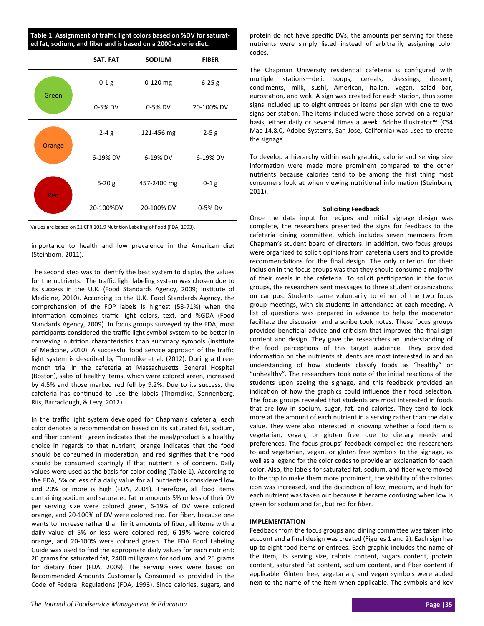**Table 1: Assignment of traffic light colors based on %DV for saturat‐ ed fat, sodium, and fiber and is based on a 2000‐calorie diet.** 

|        | SAT. FAT  | <b>SODIUM</b> | <b>FIBER</b> |
|--------|-----------|---------------|--------------|
| Green  | $0-1$ g   | $0-120$ mg    | $6 - 25g$    |
|        | 0-5% DV   | 0-5% DV       | 20-100% DV   |
| Orange | $2 - 4g$  | 121-456 mg    | $2 - 5g$     |
|        | 6-19% DV  | 6-19% DV      | 6-19% DV     |
| Red    | $5-20g$   | 457-2400 mg   | $0-1$ g      |
|        | 20-100%DV | 20-100% DV    | 0-5% DV      |

Values are based on 21 CFR 101.9 Nutrition Labeling of Food (FDA, 1993).

importance to health and low prevalence in the American diet (Steinborn, 2011).

The second step was to identify the best system to display the values for the nutrients. The traffic light labeling system was chosen due to its success in the U.K. (Food Standards Agency, 2009; Institute of Medicine, 2010). According to the U.K. Food Standards Agency, the comprehension of the FOP labels is highest (58‐71%) when the information combines traffic light colors, text, and %GDA (Food Standards Agency, 2009). In focus groups surveyed by the FDA, most participants considered the traffic light symbol system to be better in conveying nutrition characteristics than summary symbols (Institute of Medicine, 2010). A successful food service approach of the traffic light system is described by Thorndike et al. (2012). During a three‐ month trial in the cafeteria at Massachusetts General Hospital (Boston), sales of healthy items, which were colored green, increased by 4.5% and those marked red fell by 9.2%. Due to its success, the cafeteria has continued to use the labels (Thorndike, Sonnenberg, Riis, Barraclough, & Levy, 2012).

In the traffic light system developed for Chapman's cafeteria, each color denotes a recommendation based on its saturated fat, sodium, and fiber content—green indicates that the meal/product is a healthy choice in regards to that nutrient, orange indicates that the food should be consumed in moderation, and red signifies that the food should be consumed sparingly if that nutrient is of concern. Daily values were used as the basis for color‐coding (Table 1). According to the FDA, 5% or less of a daily value for all nutrients is considered low and 20% or more is high (FDA, 2004). Therefore, all food items containing sodium and saturated fat in amounts 5% or less of their DV per serving size were colored green, 6‐19% of DV were colored orange, and 20‐100% of DV were colored red. For fiber, because one wants to increase rather than limit amounts of fiber, all items with a daily value of 5% or less were colored red, 6‐19% were colored orange, and 20‐100% were colored green. The FDA Food Labeling Guide was used to find the appropriate daily values for each nutrient: 20 grams for saturated fat, 2400 milligrams for sodium, and 25 grams for dietary fiber (FDA, 2009). The serving sizes were based on Recommended Amounts Customarily Consumed as provided in the Code of Federal Regulations (FDA, 1993). Since calories, sugars, and

protein do not have specific DVs, the amounts per serving for these nutrients were simply listed instead of arbitrarily assigning color codes.

The Chapman University residential cafeteria is configured with multiple stations—deli, soups, cereals, dressings, dessert, condiments, milk, sushi, American, Italian, vegan, salad bar, eurostation, and wok. A sign was created for each station, thus some signs included up to eight entrees or items per sign with one to two signs per station. The items included were those served on a regular basis, either daily or several times a week. Adobe Illustrator™ (CS4 Mac 14.8.0, Adobe Systems, San Jose, California) was used to create the signage.

To develop a hierarchy within each graphic, calorie and serving size information were made more prominent compared to the other nutrients because calories tend to be among the first thing most consumers look at when viewing nutritional information (Steinborn, 2011).

## **SoliciƟng Feedback**

Once the data input for recipes and initial signage design was complete, the researchers presented the signs for feedback to the cafeteria dining committee, which includes seven members from Chapman's student board of directors. In addition, two focus groups were organized to solicit opinions from cafeteria users and to provide recommendations for the final design. The only criterion for their inclusion in the focus groups was that they should consume a majority of their meals in the cafeteria. To solicit participation in the focus groups, the researchers sent messages to three student organizations on campus. Students came voluntarily to either of the two focus group meetings, with six students in attendance at each meeting. A list of questions was prepared in advance to help the moderator facilitate the discussion and a scribe took notes. These focus groups provided beneficial advice and criticism that improved the final sign content and design. They gave the researchers an understanding of the food perceptions of this target audience. They provided information on the nutrients students are most interested in and an understanding of how students classify foods as "healthy" or "unhealthy". The researchers took note of the initial reactions of the students upon seeing the signage, and this feedback provided an indication of how the graphics could influence their food selection. The focus groups revealed that students are most interested in foods that are low in sodium, sugar, fat, and calories. They tend to look more at the amount of each nutrient in a serving rather than the daily value. They were also interested in knowing whether a food item is vegetarian, vegan, or gluten free due to dietary needs and preferences. The focus groups' feedback compelled the researchers to add vegetarian, vegan, or gluten free symbols to the signage, as well as a legend for the color codes to provide an explanation for each color. Also, the labels for saturated fat, sodium, and fiber were moved to the top to make them more prominent, the visibility of the calories icon was increased, and the distinction of low, medium, and high for each nutrient was taken out because it became confusing when low is green for sodium and fat, but red for fiber.

## **IMPLEMENTATION**

Feedback from the focus groups and dining committee was taken into account and a final design was created (Figures 1 and 2). Each sign has up to eight food items or entrées. Each graphic includes the name of the item, its serving size, calorie content, sugars content, protein content, saturated fat content, sodium content, and fiber content if applicable. Gluten free, vegetarian, and vegan symbols were added next to the name of the item when applicable. The symbols and key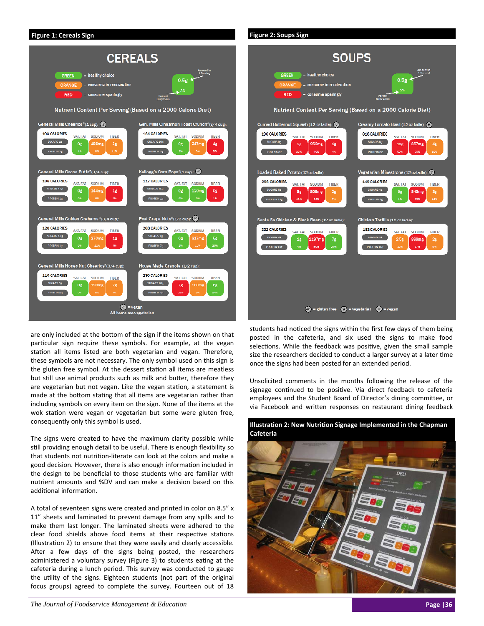

are only included at the bottom of the sign if the items shown on that particular sign require these symbols. For example, at the vegan station all items listed are both vegetarian and vegan. Therefore, these symbols are not necessary. The only symbol used on this sign is the gluten free symbol. At the dessert station all items are meatless but still use animal products such as milk and butter, therefore they are vegetarian but not vegan. Like the vegan station, a statement is made at the bottom stating that all items are vegetarian rather than including symbols on every item on the sign. None of the items at the wok station were vegan or vegetarian but some were gluten free, consequently only this symbol is used.

The signs were created to have the maximum clarity possible while still providing enough detail to be useful. There is enough flexibility so that students not nutrition-literate can look at the colors and make a good decision. However, there is also enough information included in the design to be beneficial to those students who are familiar with nutrient amounts and %DV and can make a decision based on this additional information.

A total of seventeen signs were created and printed in color on 8.5" x 11" sheets and laminated to prevent damage from any spills and to make them last longer. The laminated sheets were adhered to the clear food shields above food items at their respective stations (Illustration 2) to ensure that they were easily and clearly accessible. After a few days of the signs being posted, the researchers administered a voluntary survey (Figure 3) to students eating at the cafeteria during a lunch period. This survey was conducted to gauge the utility of the signs. Eighteen students (not part of the original focus groups) agreed to complete the survey. Fourteen out of 18



students had noticed the signs within the first few days of them being posted in the cafeteria, and six used the signs to make food selections. While the feedback was positive, given the small sample size the researchers decided to conduct a larger survey at a later time once the signs had been posted for an extended period.

Unsolicited comments in the months following the release of the signage continued to be positive. Via direct feedback to cafeteria employees and the Student Board of Director's dining committee, or via Facebook and written responses on restaurant dining feedback



# **IllustraƟon 2: New NutriƟon Signage Implemented in the Chapman Cafeteria**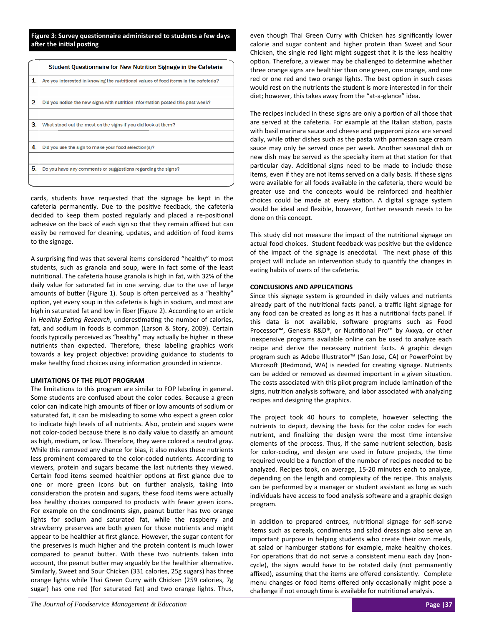**Figure 3: Survey quesƟonnaire administered to students a few days after the initial posting** 

|    | Student Questionnaire for New Nutrition Signage in the Cafeteria                     |
|----|--------------------------------------------------------------------------------------|
| 1. | Are you interested in knowing the nutritional values of food items in the cafeteria? |
|    |                                                                                      |
| 2. | Did you notice the new signs with nutrition information posted this past week?       |
|    |                                                                                      |
| 3. | What stood out the most on the signs if you did look at them?                        |
|    |                                                                                      |
| 4. | Did you use the sign to make your food selection(s)?                                 |
|    |                                                                                      |
| 5. | Do you have any comments or suggestions regarding the signs?                         |
|    |                                                                                      |

cards, students have requested that the signage be kept in the cafeteria permanently. Due to the positive feedback, the cafeteria decided to keep them posted regularly and placed a re-positional adhesive on the back of each sign so that they remain affixed but can easily be removed for cleaning, updates, and addition of food items to the signage.

A surprising find was that several items considered "healthy" to most students, such as granola and soup, were in fact some of the least nutritional. The cafeteria house granola is high in fat, with 32% of the daily value for saturated fat in one serving, due to the use of large amounts of butter (Figure 1). Soup is often perceived as a "healthy" option, yet every soup in this cafeteria is high in sodium, and most are high in saturated fat and low in fiber (Figure 2). According to an article in *Healthy Eating Research*, underestimating the number of calories, fat, and sodium in foods is common (Larson & Story, 2009). Certain foods typically perceived as "healthy" may actually be higher in these nutrients than expected. Therefore, these labeling graphics work towards a key project objective: providing guidance to students to make healthy food choices using information grounded in science.

# **LIMITATIONS OF THE PILOT PROGRAM**

The limitations to this program are similar to FOP labeling in general. Some students are confused about the color codes. Because a green color can indicate high amounts of fiber or low amounts of sodium or saturated fat, it can be misleading to some who expect a green color to indicate high levels of all nutrients. Also, protein and sugars were not color‐coded because there is no daily value to classify an amount as high, medium, or low. Therefore, they were colored a neutral gray. While this removed any chance for bias, it also makes these nutrients less prominent compared to the color‐coded nutrients. According to viewers, protein and sugars became the last nutrients they viewed. Certain food items seemed healthier options at first glance due to one or more green icons but on further analysis, taking into consideration the protein and sugars, these food items were actually less healthy choices compared to products with fewer green icons. For example on the condiments sign, peanut butter has two orange lights for sodium and saturated fat, while the raspberry and strawberry preserves are both green for those nutrients and might appear to be healthier at first glance. However, the sugar content for the preserves is much higher and the protein content is much lower compared to peanut butter. With these two nutrients taken into account, the peanut butter may arguably be the healthier alternative. Similarly, Sweet and Sour Chicken (331 calories, 25g sugars) has three orange lights while Thai Green Curry with Chicken (259 calories, 7g sugar) has one red (for saturated fat) and two orange lights. Thus,

even though Thai Green Curry with Chicken has significantly lower calorie and sugar content and higher protein than Sweet and Sour Chicken, the single red light might suggest that it is the less healthy option. Therefore, a viewer may be challenged to determine whether three orange signs are healthier than one green, one orange, and one red or one red and two orange lights. The best option in such cases would rest on the nutrients the student is more interested in for their diet; however, this takes away from the "at‐a‐glance" idea.

The recipes included in these signs are only a portion of all those that are served at the cafeteria. For example at the Italian station, pasta with basil marinara sauce and cheese and pepperoni pizza are served daily, while other dishes such as the pasta with parmesan sage cream sauce may only be served once per week. Another seasonal dish or new dish may be served as the specialty item at that station for that particular day. Additional signs need to be made to include those items, even if they are not items served on a daily basis. If these signs were available for all foods available in the cafeteria, there would be greater use and the concepts would be reinforced and healthier choices could be made at every station. A digital signage system would be ideal and flexible, however, further research needs to be done on this concept.

This study did not measure the impact of the nutritional signage on actual food choices. Student feedback was positive but the evidence of the impact of the signage is anecdotal. The next phase of this project will include an intervention study to quantify the changes in eating habits of users of the cafeteria.

# **CONCLUSIONS AND APPLICATIONS**

Since this signage system is grounded in daily values and nutrients already part of the nutritional facts panel, a traffic light signage for any food can be created as long as it has a nutritional facts panel. If this data is not available, software programs such as Food Processor™, Genesis R&D®, or Nutritional Pro™ by Axxya, or other inexpensive programs available online can be used to analyze each recipe and derive the necessary nutrient facts. A graphic design program such as Adobe Illustrator™ (San Jose, CA) or PowerPoint by Microsoft (Redmond, WA) is needed for creating signage. Nutrients can be added or removed as deemed important in a given situation. The costs associated with this pilot program include lamination of the signs, nutrition analysis software, and labor associated with analyzing recipes and designing the graphics.

The project took 40 hours to complete, however selecting the nutrients to depict, devising the basis for the color codes for each nutrient, and finalizing the design were the most time intensive elements of the process. Thus, if the same nutrient selection, basis for color-coding, and design are used in future projects, the time required would be a function of the number of recipes needed to be analyzed. Recipes took, on average, 15‐20 minutes each to analyze, depending on the length and complexity of the recipe. This analysis can be performed by a manager or student assistant as long as such individuals have access to food analysis software and a graphic design program.

In addition to prepared entrees, nutritional signage for self-serve items such as cereals, condiments and salad dressings also serve an important purpose in helping students who create their own meals, at salad or hamburger stations for example, make healthy choices. For operations that do not serve a consistent menu each day (noncycle), the signs would have to be rotated daily (not permanently affixed), assuming that the items are offered consistently. Complete menu changes or food items offered only occasionally might pose a challenge if not enough time is available for nutritional analysis.